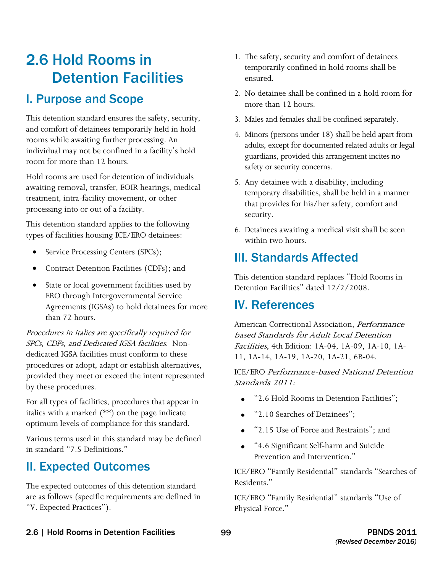# 2.6 Hold Rooms in Detention Facilities

## I. Purpose and Scope

 and comfort of detainees temporarily held in hold rooms while awaiting further processing. An individual may not be confined in a facility's hold This detention standard ensures the safety, security, room for more than 12 hours.

Hold rooms are used for detention of individuals awaiting removal, transfer, EOIR hearings, medical treatment, intra-facility movement, or other processing into or out of a facility.

This detention standard applies to the following types of facilities housing ICE/ERO detainees:

- Service Processing Centers (SPCs);
- Contract Detention Facilities (CDFs); and
- State or local government facilities used by ERO through Intergovernmental Service Agreements (IGSAs) to hold detainees for more than 72 hours.

 SPCs, CDFs, and Dedicated IGSA facilities. Non-Procedures in italics are specifically required for dedicated IGSA facilities must conform to these procedures or adopt, adapt or establish alternatives, provided they meet or exceed the intent represented by these procedures.

For all types of facilities, procedures that appear in italics with a marked (\*\*) on the page indicate optimum levels of compliance for this standard.

Various terms used in this standard may be defined in standard "7.5 Definitions."

## II. Expected Outcomes

The expected outcomes of this detention standard are as follows (specific requirements are defined in "V. Expected Practices").

- 1. The safety, security and comfort of detainees temporarily confined in hold rooms shall be ensured.
- 2. No detainee shall be confined in a hold room for more than 12 hours.
- 3. Males and females shall be confined separately.
- 4. Minors (persons under 18) shall be held apart from adults, except for documented related adults or legal guardians, provided this arrangement incites no safety or security concerns.
- temporary disabilities, shall be held in a manner 5. Any detainee with a disability, including that provides for his/her safety, comfort and security.
- 6. Detainees awaiting a medical visit shall be seen within two hours.

## III. Standards Affected

This detention standard replaces "Hold Rooms in Detention Facilities" dated 12/2/2008.

## IV. References

American Correctional Association, Performancebased Standards for Adult Local Detention Facilities, 4th Edition: 1A-04, 1A-09, 1A-10, 1A-11, 1A-14, 1A-19, 1A-20, 1A-21, 6B-04.

 Standards 2011: ICE/ERO Performance-based National Detention

- "2.6 Hold Rooms in Detention Facilities";
- "2.10 Searches of Detainees":
- • "2.15 Use of Force and Restraints"; and
- • "4.6 Significant Self-harm and Suicide Prevention and Intervention."

ICE/ERO "Family Residential" standards "Searches of Residents."

ICE/ERO "Family Residential" standards "Use of Physical Force."

### 2.6 | Hold Rooms in Detention Facilities 99 PBNDS 2011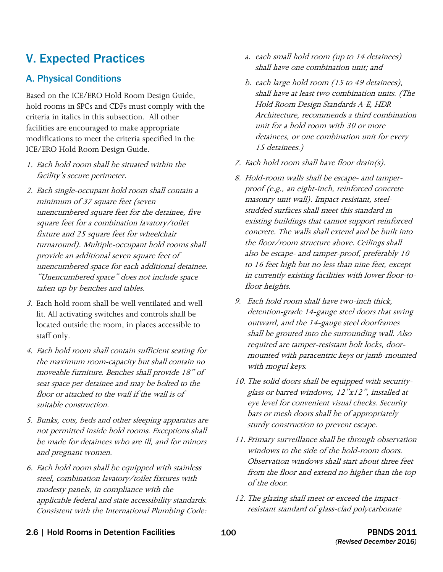## V. Expected Practices

## A. Physical Conditions

Based on the ICE/ERO Hold Room Design Guide, hold rooms in SPCs and CDFs must comply with the criteria in italics in this subsection. All other facilities are encouraged to make appropriate modifications to meet the criteria specified in the ICE/ERO Hold Room Design Guide.

- 1. Each hold room shall be situated within the facility's secure perimeter.
- 2. Each single-occupant hold room shall contain a minimum of 37 square feet (seven unencumbered square feet for the detainee, five square feet for a combination lavatory/toilet fixture and 25 square feet for wheelchair turnaround). Multiple-occupant hold rooms shall provide an additional seven square feet of unencumbered space for each additional detainee. "Unencumbered space" does not include space taken up by benches and tables.
- 3. Each hold room shall be well ventilated and well lit. All activating switches and controls shall be located outside the room, in places accessible to staff only.
- 4. Each hold room shall contain sufficient seating for moveable furniture. Benches shall provide 18" of seat space per detainee and may be bolted to the the maximum room-capacity but shall contain no floor or attached to the wall if the wall is of suitable construction.
- 5. Bunks, cots, beds and other sleeping apparatus are not permitted inside hold rooms. Exceptions shall be made for detainees who are ill, and for minors and pregnant women.
- modesty panels, in compliance with the 6. Each hold room shall be equipped with stainless steel, combination lavatory/toilet fixtures with applicable federal and state accessibility standards. Consistent with the International Plumbing Code:
- a. each small hold room (up to 14 detainees) shall have one combination unit; and
- b. each large hold room (15 to 49 detainees), shall have at least two combination units. (The Hold Room Design Standards A-E, HDR Architecture, recommends a third combination unit for a hold room with 30 or more detainees, or one combination unit for every 15 detainees.)
- 7. Each hold room shall have floor drain(s).
- 8. Hold-room walls shall be escape- and tamperproof (e.g., an eight-inch, reinforced concrete masonry unit wall). Impact-resistant, steelstudded surfaces shall meet this standard in existing buildings that cannot support reinforced concrete. The walls shall extend and be built into the floor/room structure above. Ceilings shall also be escape- and tamper-proof, preferably 10 to 16 feet high but no less than nine feet, except in currently existing facilities with lower floor-tofloor heights.
- 9. Each hold room shall have two-inch thick, detention-grade 14-gauge steel doors that swing outward, and the 14-gauge steel doorframes shall be grouted into the surrounding wall. Also required are tamper-resistant bolt locks, doormounted with paracentric keys or jamb-mounted with mogul keys.
- 10. The solid doors shall be equipped with securityglass or barred windows, 12"x12", installed at eye level for convenient visual checks. Security bars or mesh doors shall be of appropriately sturdy construction to prevent escape.
- 11. Primary surveillance shall be through observation windows to the side of the hold-room doors. Observation windows shall start about three feet from the floor and extend no higher than the top of the door.
- 12. The glazing shall meet or exceed the impactresistant standard of glass-clad polycarbonate

#### 2.6 | Hold Rooms in Detention Facilities 100 100 PBNDS 2011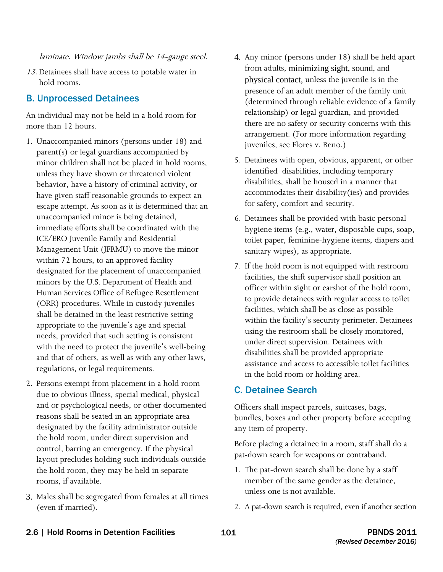laminate. Window jambs shall be 14-gauge steel.

13. Detainees shall have access to potable water in hold rooms.

## B. Unprocessed Detainees

An individual may not be held in a hold room for more than 12 hours.

- 1. Unaccompanied minors (persons under 18) and (ORR) procedures. While in custody juveniles parent(s) or legal guardians accompanied by minor children shall not be placed in hold rooms, unless they have shown or threatened violent behavior, have a history of criminal activity, or have given staff reasonable grounds to expect an escape attempt. As soon as it is determined that an unaccompanied minor is being detained, immediate efforts shall be coordinated with the ICE/ERO Juvenile Family and Residential Management Unit (JFRMU) to move the minor within 72 hours, to an approved facility designated for the placement of unaccompanied minors by the U.S. Department of Health and Human Services Office of Refugee Resettlement shall be detained in the least restrictive setting appropriate to the juvenile's age and special needs, provided that such setting is consistent with the need to protect the juvenile's well-being and that of others, as well as with any other laws, regulations, or legal requirements.
- 2. Persons exempt from placement in a hold room due to obvious illness, special medical, physical and or psychological needs, or other documented reasons shall be seated in an appropriate area designated by the facility administrator outside the hold room, under direct supervision and control, barring an emergency. If the physical layout precludes holding such individuals outside the hold room, they may be held in separate rooms, if available.
- 3. Males shall be segregated from females at all times (even if married).
- 4. Any minor (persons under 18) shall be held apart from adults, minimizing sight, sound, and physical contact, unless the juvenile is in the presence of an adult member of the family unit (determined through reliable evidence of a family relationship) or legal guardian, and provided there are no safety or security concerns with this arrangement. (For more information regarding juveniles, see Flores v. Reno.)
- identified disabilities, including temporary 5. Detainees with open, obvious, apparent, or other disabilities, shall be housed in a manner that accommodates their disability(ies) and provides for safety, comfort and security.
- 6. Detainees shall be provided with basic personal hygiene items (e.g., water, disposable cups, soap, toilet paper, feminine-hygiene items, diapers and sanitary wipes), as appropriate.
- 7. If the hold room is not equipped with restroom facilities, the shift supervisor shall position an officer within sight or earshot of the hold room, to provide detainees with regular access to toilet facilities, which shall be as close as possible within the facility's security perimeter. Detainees using the restroom shall be closely monitored, under direct supervision. Detainees with disabilities shall be provided appropriate assistance and access to accessible toilet facilities in the hold room or holding area.

### C. Detainee Search

Officers shall inspect parcels, suitcases, bags, bundles, boxes and other property before accepting any item of property.

 Before placing a detainee in a room, staff shall do a pat-down search for weapons or contraband.

- 1. The pat-down search shall be done by a staff member of the same gender as the detainee, unless one is not available.
- 2. A pat-down search is required, even if another section

### 2.6 | Hold Rooms in Detention Facilities 101 101 101 PBNDS 2011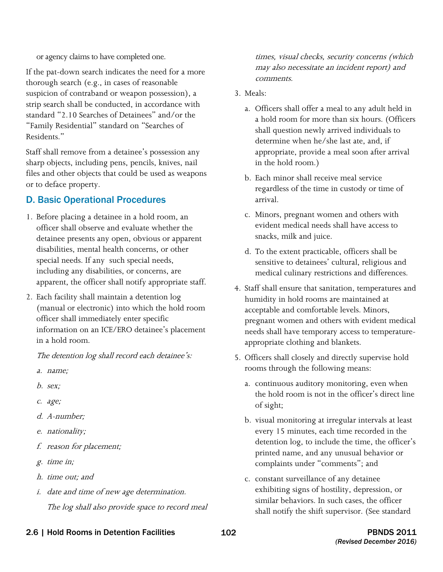or agency claims to have completed one.

If the pat-down search indicates the need for a more thorough search (e.g., in cases of reasonable suspicion of contraband or weapon possession), a strip search shall be conducted, in accordance with standard "2.10 Searches of Detainees" and/or the "Family Residential" standard on "Searches of Residents."

Staff shall remove from a detainee's possession any sharp objects, including pens, pencils, knives, nail files and other objects that could be used as weapons or to deface property.

## D. Basic Operational Procedures

- 1. Before placing a detainee in a hold room, an detainee presents any open, obvious or apparent officer shall observe and evaluate whether the disabilities, mental health concerns, or other special needs. If any such special needs, including any disabilities, or concerns, are apparent, the officer shall notify appropriate staff.
- 2. Each facility shall maintain a detention log (manual or electronic) into which the hold room officer shall immediately enter specific information on an ICE/ERO detainee's placement in a hold room.

The detention log shall record each detainee's:

- a. name;
- b. sex;
- c. age;
- d. A-number;
- e. *nationality*;
- f. reason for placement;
- g. time in;
- h. time out; and
- i. date and time of new age determination. The log shall also provide space to record meal

times, visual checks, security concerns (which may also necessitate an incident report) and comments.

### 3. Meals:

- a. Officers shall offer a meal to any adult held in a hold room for more than six hours. (Officers shall question newly arrived individuals to determine when he/she last ate, and, if appropriate, provide a meal soon after arrival in the hold room.)
- b. Each minor shall receive meal service regardless of the time in custody or time of arrival.
- c. Minors, pregnant women and others with evident medical needs shall have access to snacks, milk and juice.
- d. To the extent practicable, officers shall be sensitive to detainees' cultural, religious and medical culinary restrictions and differences.
- 4. Staff shall ensure that sanitation, temperatures and humidity in hold rooms are maintained at acceptable and comfortable levels. Minors, pregnant women and others with evident medical needs shall have temporary access to temperatureappropriate clothing and blankets.
- 5. Officers shall closely and directly supervise hold rooms through the following means:
	- a. continuous auditory monitoring, even when the hold room is not in the officer's direct line of sight;
	- b. visual monitoring at irregular intervals at least every 15 minutes, each time recorded in the detention log, to include the time, the officer's printed name, and any unusual behavior or complaints under "comments"; and
	- c. constant surveillance of any detainee exhibiting signs of hostility, depression, or similar behaviors. In such cases, the officer shall notify the shift supervisor. (See standard

### 2.6 | Hold Rooms in Detention Facilities 102 102 TENDS 2011